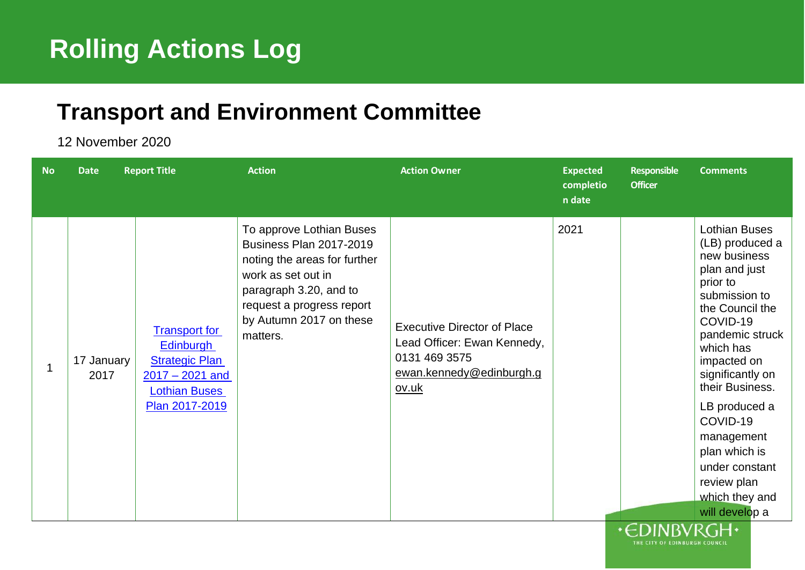## <sup>1</sup> **Rolling Actions Log**

## <sup>5</sup> **Transport and Environment Committee**

6 12 November 2020

| <b>No</b> | Date               | <b>Report Title</b>                                                                                                       | <b>Action</b>                                                                                                                                                                                                  | <b>Action Owner</b>                                                                                                     | <b>Expected</b><br>completio<br>n date | <b>Responsible</b><br><b>Officer</b> | <b>Comments</b>                                                                                                                                                                                                                                                                                                                                             |
|-----------|--------------------|---------------------------------------------------------------------------------------------------------------------------|----------------------------------------------------------------------------------------------------------------------------------------------------------------------------------------------------------------|-------------------------------------------------------------------------------------------------------------------------|----------------------------------------|--------------------------------------|-------------------------------------------------------------------------------------------------------------------------------------------------------------------------------------------------------------------------------------------------------------------------------------------------------------------------------------------------------------|
| 1         | 17 January<br>2017 | <b>Transport for</b><br>Edinburgh<br><b>Strategic Plan</b><br>$2017 - 2021$ and<br><b>Lothian Buses</b><br>Plan 2017-2019 | To approve Lothian Buses<br><b>Business Plan 2017-2019</b><br>noting the areas for further<br>work as set out in<br>paragraph 3.20, and to<br>request a progress report<br>by Autumn 2017 on these<br>matters. | <b>Executive Director of Place</b><br>Lead Officer: Ewan Kennedy,<br>0131 469 3575<br>ewan.kennedy@edinburgh.g<br>ov.uk | 2021                                   |                                      | <b>Lothian Buses</b><br>(LB) produced a<br>new business<br>plan and just<br>prior to<br>submission to<br>the Council the<br>COVID-19<br>pandemic struck<br>which has<br>impacted on<br>significantly on<br>their Business.<br>LB produced a<br>COVID-19<br>management<br>plan which is<br>under constant<br>review plan<br>which they and<br>will develop a |
|           |                    |                                                                                                                           |                                                                                                                                                                                                                |                                                                                                                         |                                        | $CD$ in in $CL$ is in $CL$           |                                                                                                                                                                                                                                                                                                                                                             |

THE CITY OF EDINBURGH COUNCIL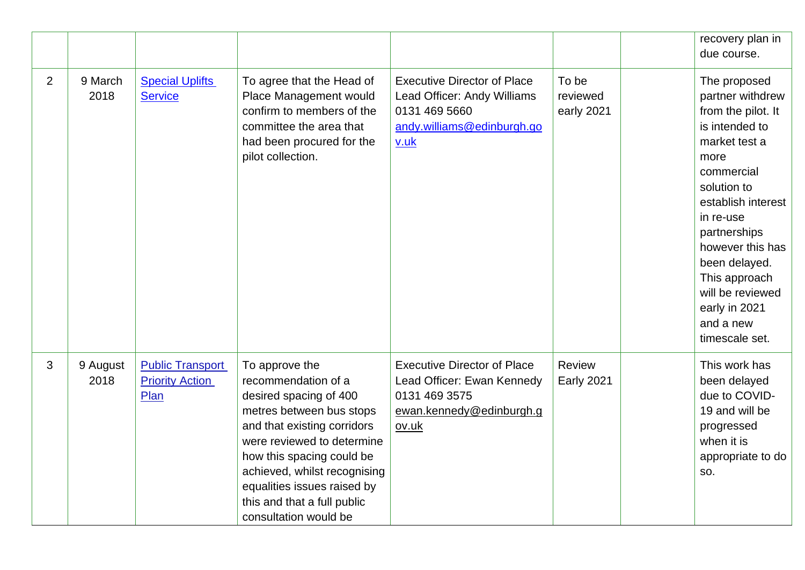|                |                  |                                                           |                                                                                                                                                                                                                                                                                                              |                                                                                                                          |                                 | recovery plan in<br>due course.                                                                                                                                                                                                                                                                             |
|----------------|------------------|-----------------------------------------------------------|--------------------------------------------------------------------------------------------------------------------------------------------------------------------------------------------------------------------------------------------------------------------------------------------------------------|--------------------------------------------------------------------------------------------------------------------------|---------------------------------|-------------------------------------------------------------------------------------------------------------------------------------------------------------------------------------------------------------------------------------------------------------------------------------------------------------|
| $\overline{2}$ | 9 March<br>2018  | <b>Special Uplifts</b><br><b>Service</b>                  | To agree that the Head of<br>Place Management would<br>confirm to members of the<br>committee the area that<br>had been procured for the<br>pilot collection.                                                                                                                                                | <b>Executive Director of Place</b><br>Lead Officer: Andy Williams<br>0131 469 5660<br>andy.williams@edinburgh.go<br>v.uk | To be<br>reviewed<br>early 2021 | The proposed<br>partner withdrew<br>from the pilot. It<br>is intended to<br>market test a<br>more<br>commercial<br>solution to<br>establish interest<br>in re-use<br>partnerships<br>however this has<br>been delayed.<br>This approach<br>will be reviewed<br>early in 2021<br>and a new<br>timescale set. |
| 3              | 9 August<br>2018 | <b>Public Transport</b><br><b>Priority Action</b><br>Plan | To approve the<br>recommendation of a<br>desired spacing of 400<br>metres between bus stops<br>and that existing corridors<br>were reviewed to determine<br>how this spacing could be<br>achieved, whilst recognising<br>equalities issues raised by<br>this and that a full public<br>consultation would be | <b>Executive Director of Place</b><br>Lead Officer: Ewan Kennedy<br>0131 469 3575<br>ewan.kennedy@edinburgh.g<br>ov.uk   | Review<br><b>Early 2021</b>     | This work has<br>been delayed<br>due to COVID-<br>19 and will be<br>progressed<br>when it is<br>appropriate to do<br>SO.                                                                                                                                                                                    |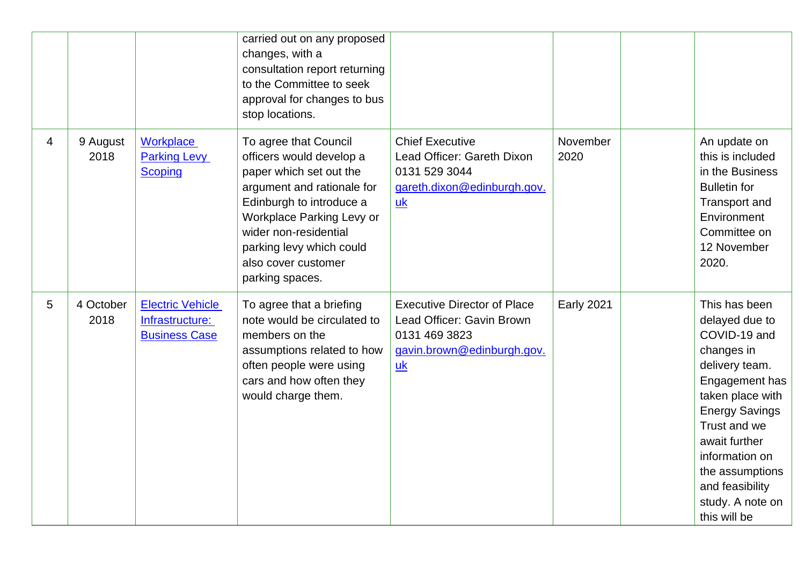|   |                   |                                                                    | carried out on any proposed<br>changes, with a<br>consultation report returning<br>to the Committee to seek<br>approval for changes to bus<br>stop locations.                                                                                                      |                                                                                                                                    |                   |                                                                                                                                                                                                                                                                             |
|---|-------------------|--------------------------------------------------------------------|--------------------------------------------------------------------------------------------------------------------------------------------------------------------------------------------------------------------------------------------------------------------|------------------------------------------------------------------------------------------------------------------------------------|-------------------|-----------------------------------------------------------------------------------------------------------------------------------------------------------------------------------------------------------------------------------------------------------------------------|
| 4 | 9 August<br>2018  | Workplace<br><b>Parking Levy</b><br><b>Scoping</b>                 | To agree that Council<br>officers would develop a<br>paper which set out the<br>argument and rationale for<br>Edinburgh to introduce a<br>Workplace Parking Levy or<br>wider non-residential<br>parking levy which could<br>also cover customer<br>parking spaces. | <b>Chief Executive</b><br>Lead Officer: Gareth Dixon<br>0131 529 3044<br>gareth.dixon@edinburgh.gov.<br>$\underline{uk}$           | November<br>2020  | An update on<br>this is included<br>in the Business<br><b>Bulletin for</b><br>Transport and<br>Environment<br>Committee on<br>12 November<br>2020.                                                                                                                          |
| 5 | 4 October<br>2018 | <b>Electric Vehicle</b><br>Infrastructure:<br><b>Business Case</b> | To agree that a briefing<br>note would be circulated to<br>members on the<br>assumptions related to how<br>often people were using<br>cars and how often they<br>would charge them.                                                                                | <b>Executive Director of Place</b><br>Lead Officer: Gavin Brown<br>0131 469 3823<br>gavin.brown@edinburgh.gov.<br>$\underline{uk}$ | <b>Early 2021</b> | This has been<br>delayed due to<br>COVID-19 and<br>changes in<br>delivery team.<br>Engagement has<br>taken place with<br><b>Energy Savings</b><br>Trust and we<br>await further<br>information on<br>the assumptions<br>and feasibility<br>study. A note on<br>this will be |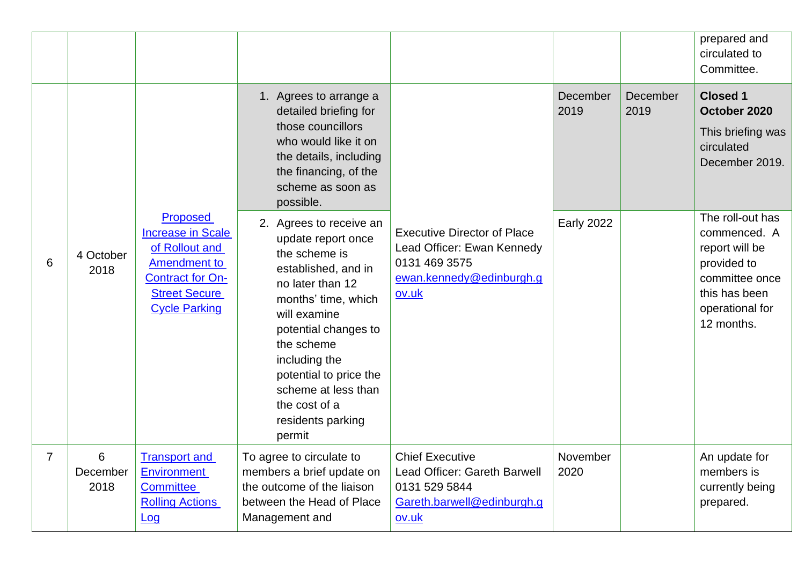|   |                       |                                                                                                                                                          |                                                                                                                                                                                                                                                                                                          |                                                                                                                        |                   |                  | prepared and<br>circulated to<br>Committee.                                                                                           |
|---|-----------------------|----------------------------------------------------------------------------------------------------------------------------------------------------------|----------------------------------------------------------------------------------------------------------------------------------------------------------------------------------------------------------------------------------------------------------------------------------------------------------|------------------------------------------------------------------------------------------------------------------------|-------------------|------------------|---------------------------------------------------------------------------------------------------------------------------------------|
|   |                       |                                                                                                                                                          | 1. Agrees to arrange a<br>detailed briefing for<br>those councillors<br>who would like it on<br>the details, including<br>the financing, of the<br>scheme as soon as<br>possible.                                                                                                                        |                                                                                                                        | December<br>2019  | December<br>2019 | <b>Closed 1</b><br>October 2020<br>This briefing was<br>circulated<br>December 2019.                                                  |
| 6 | 4 October<br>2018     | Proposed<br><b>Increase in Scale</b><br>of Rollout and<br><b>Amendment to</b><br><b>Contract for On-</b><br><b>Street Secure</b><br><b>Cycle Parking</b> | 2. Agrees to receive an<br>update report once<br>the scheme is<br>established, and in<br>no later than 12<br>months' time, which<br>will examine<br>potential changes to<br>the scheme<br>including the<br>potential to price the<br>scheme at less than<br>the cost of a<br>residents parking<br>permit | <b>Executive Director of Place</b><br>Lead Officer: Ewan Kennedy<br>0131 469 3575<br>ewan.kennedy@edinburgh.g<br>ov.uk | <b>Early 2022</b> |                  | The roll-out has<br>commenced. A<br>report will be<br>provided to<br>committee once<br>this has been<br>operational for<br>12 months. |
| 7 | 6<br>December<br>2018 | <b>Transport and</b><br><b>Environment</b><br><b>Committee</b><br><b>Rolling Actions</b><br><u>Log</u>                                                   | To agree to circulate to<br>members a brief update on<br>the outcome of the liaison<br>between the Head of Place<br>Management and                                                                                                                                                                       | <b>Chief Executive</b><br>Lead Officer: Gareth Barwell<br>0131 529 5844<br>Gareth.barwell@edinburgh.g<br><u>ov.uk</u>  | November<br>2020  |                  | An update for<br>members is<br>currently being<br>prepared.                                                                           |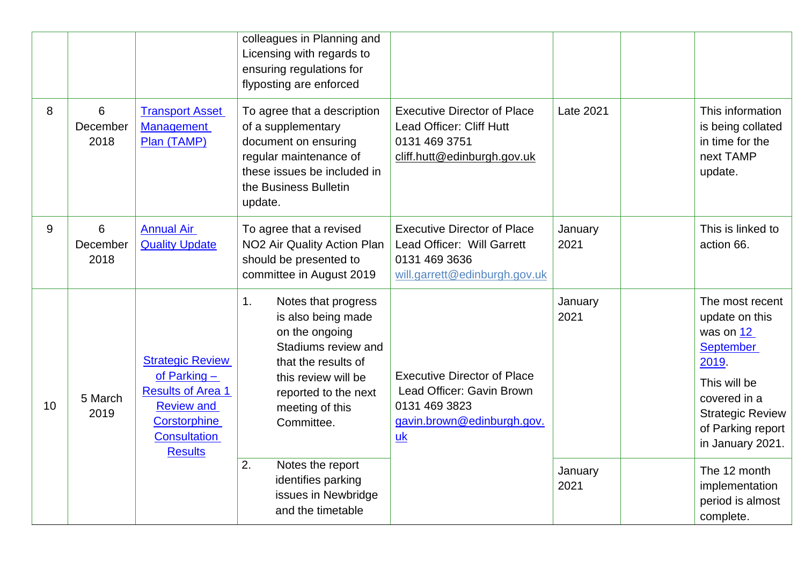|    |                       |                                                                                                                                                   | colleagues in Planning and<br>Licensing with regards to<br>ensuring regulations for<br>flyposting are enforced                                                                                  |                                                                                                                                    |                 |                                                                                                                                                                                 |
|----|-----------------------|---------------------------------------------------------------------------------------------------------------------------------------------------|-------------------------------------------------------------------------------------------------------------------------------------------------------------------------------------------------|------------------------------------------------------------------------------------------------------------------------------------|-----------------|---------------------------------------------------------------------------------------------------------------------------------------------------------------------------------|
| 8  | 6<br>December<br>2018 | <b>Transport Asset</b><br><b>Management</b><br>Plan (TAMP)                                                                                        | To agree that a description<br>of a supplementary<br>document on ensuring<br>regular maintenance of<br>these issues be included in<br>the Business Bulletin<br>update.                          | <b>Executive Director of Place</b><br>Lead Officer: Cliff Hutt<br>0131 469 3751<br>cliff.hutt@edinburgh.gov.uk                     | Late 2021       | This information<br>is being collated<br>in time for the<br>next TAMP<br>update.                                                                                                |
| 9  | 6<br>December<br>2018 | <b>Annual Air</b><br><b>Quality Update</b>                                                                                                        | To agree that a revised<br>NO2 Air Quality Action Plan<br>should be presented to<br>committee in August 2019                                                                                    | <b>Executive Director of Place</b><br>Lead Officer: Will Garrett<br>0131 469 3636<br>will.garrett@edinburgh.gov.uk                 | January<br>2021 | This is linked to<br>action 66.                                                                                                                                                 |
| 10 | 5 March<br>2019       | <b>Strategic Review</b><br>of Parking -<br><b>Results of Area 1</b><br><b>Review and</b><br>Corstorphine<br><b>Consultation</b><br><b>Results</b> | Notes that progress<br>1.<br>is also being made<br>on the ongoing<br>Stadiums review and<br>that the results of<br>this review will be<br>reported to the next<br>meeting of this<br>Committee. | <b>Executive Director of Place</b><br>Lead Officer: Gavin Brown<br>0131 469 3823<br>gavin.brown@edinburgh.gov.<br>$u$ <sub>k</sub> | January<br>2021 | The most recent<br>update on this<br>was on 12<br><b>September</b><br>2019.<br>This will be<br>covered in a<br><b>Strategic Review</b><br>of Parking report<br>in January 2021. |
|    |                       |                                                                                                                                                   | 2.<br>Notes the report<br>identifies parking<br>issues in Newbridge<br>and the timetable                                                                                                        |                                                                                                                                    | January<br>2021 | The 12 month<br>implementation<br>period is almost<br>complete.                                                                                                                 |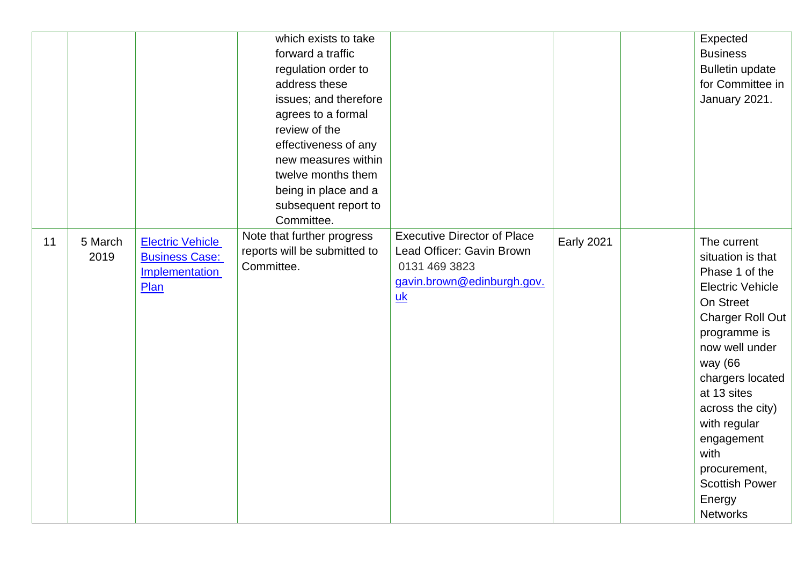|    |                 |                                                                            | which exists to take<br>forward a traffic<br>regulation order to<br>address these<br>issues; and therefore<br>agrees to a formal<br>review of the<br>effectiveness of any<br>new measures within<br>twelve months them<br>being in place and a<br>subsequent report to<br>Committee. |                                                                                                                                    |                   | Expected<br><b>Business</b><br><b>Bulletin update</b><br>for Committee in<br>January 2021.                                                                                                                                                                                                                                            |
|----|-----------------|----------------------------------------------------------------------------|--------------------------------------------------------------------------------------------------------------------------------------------------------------------------------------------------------------------------------------------------------------------------------------|------------------------------------------------------------------------------------------------------------------------------------|-------------------|---------------------------------------------------------------------------------------------------------------------------------------------------------------------------------------------------------------------------------------------------------------------------------------------------------------------------------------|
| 11 | 5 March<br>2019 | <b>Electric Vehicle</b><br><b>Business Case:</b><br>Implementation<br>Plan | Note that further progress<br>reports will be submitted to<br>Committee.                                                                                                                                                                                                             | <b>Executive Director of Place</b><br>Lead Officer: Gavin Brown<br>0131 469 3823<br>gavin.brown@edinburgh.gov.<br>$\underline{uk}$ | <b>Early 2021</b> | The current<br>situation is that<br>Phase 1 of the<br><b>Electric Vehicle</b><br>On Street<br><b>Charger Roll Out</b><br>programme is<br>now well under<br>way (66<br>chargers located<br>at 13 sites<br>across the city)<br>with regular<br>engagement<br>with<br>procurement,<br><b>Scottish Power</b><br>Energy<br><b>Networks</b> |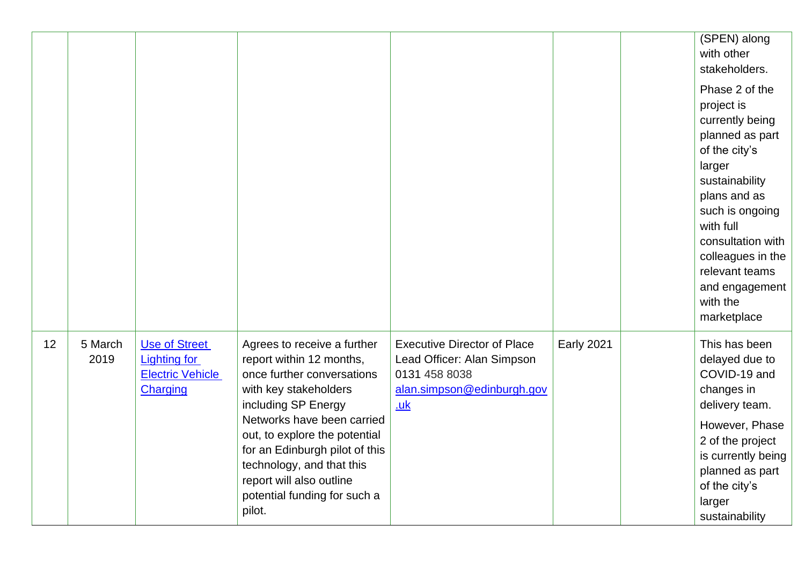|    |                 |                                                                                    |                                                                                                                                                                                                                                                                                                                                           |                                                                                                                        |                   | (SPEN) along<br>with other<br>stakeholders.<br>Phase 2 of the<br>project is<br>currently being<br>planned as part<br>of the city's<br>larger<br>sustainability<br>plans and as<br>such is ongoing<br>with full<br>consultation with<br>colleagues in the<br>relevant teams<br>and engagement<br>with the<br>marketplace |
|----|-----------------|------------------------------------------------------------------------------------|-------------------------------------------------------------------------------------------------------------------------------------------------------------------------------------------------------------------------------------------------------------------------------------------------------------------------------------------|------------------------------------------------------------------------------------------------------------------------|-------------------|-------------------------------------------------------------------------------------------------------------------------------------------------------------------------------------------------------------------------------------------------------------------------------------------------------------------------|
| 12 | 5 March<br>2019 | <b>Use of Street</b><br><b>Lighting for</b><br><b>Electric Vehicle</b><br>Charging | Agrees to receive a further<br>report within 12 months,<br>once further conversations<br>with key stakeholders<br>including SP Energy<br>Networks have been carried<br>out, to explore the potential<br>for an Edinburgh pilot of this<br>technology, and that this<br>report will also outline<br>potential funding for such a<br>pilot. | <b>Executive Director of Place</b><br>Lead Officer: Alan Simpson<br>0131 458 8038<br>alan.simpson@edinburgh.gov<br>.uk | <b>Early 2021</b> | This has been<br>delayed due to<br>COVID-19 and<br>changes in<br>delivery team.<br>However, Phase<br>2 of the project<br>is currently being<br>planned as part<br>of the city's<br>larger<br>sustainability                                                                                                             |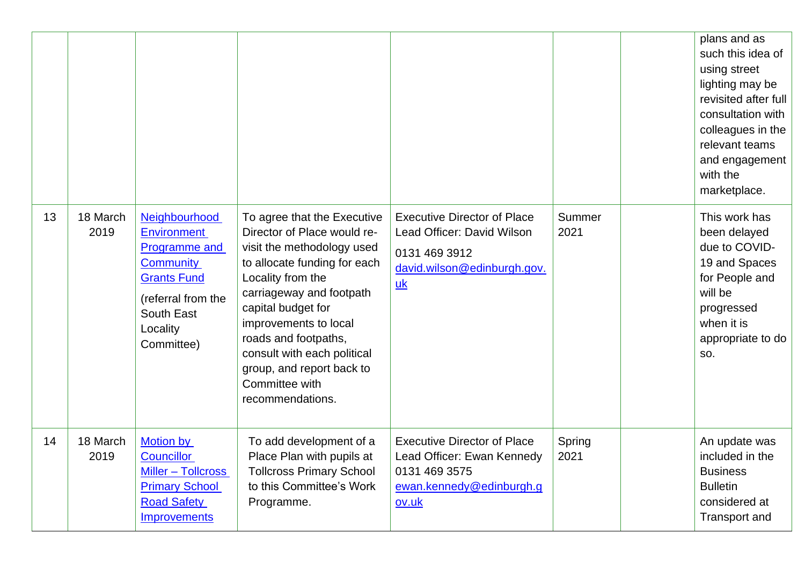|    |                  |                                                                                                                                                              |                                                                                                                                                                                                                                                                                                                                                    |                                                                                                                                      |                | plans and as<br>such this idea of<br>using street<br>lighting may be<br>revisited after full<br>consultation with<br>colleagues in the<br>relevant teams<br>and engagement<br>with the<br>marketplace. |
|----|------------------|--------------------------------------------------------------------------------------------------------------------------------------------------------------|----------------------------------------------------------------------------------------------------------------------------------------------------------------------------------------------------------------------------------------------------------------------------------------------------------------------------------------------------|--------------------------------------------------------------------------------------------------------------------------------------|----------------|--------------------------------------------------------------------------------------------------------------------------------------------------------------------------------------------------------|
| 13 | 18 March<br>2019 | Neighbourhood<br><b>Environment</b><br>Programme and<br><b>Community</b><br><b>Grants Fund</b><br>(referral from the<br>South East<br>Locality<br>Committee) | To agree that the Executive<br>Director of Place would re-<br>visit the methodology used<br>to allocate funding for each<br>Locality from the<br>carriageway and footpath<br>capital budget for<br>improvements to local<br>roads and footpaths,<br>consult with each political<br>group, and report back to<br>Committee with<br>recommendations. | <b>Executive Director of Place</b><br>Lead Officer: David Wilson<br>0131 469 3912<br>david.wilson@edinburgh.gov.<br>$\underline{uk}$ | Summer<br>2021 | This work has<br>been delayed<br>due to COVID-<br>19 and Spaces<br>for People and<br>will be<br>progressed<br>when it is<br>appropriate to do<br>SO.                                                   |
| 14 | 18 March<br>2019 | <b>Motion by</b><br><b>Councillor</b><br>Miller - Tollcross<br><b>Primary School</b><br><b>Road Safety</b><br>Improvements                                   | To add development of a<br>Place Plan with pupils at<br><b>Tollcross Primary School</b><br>to this Committee's Work<br>Programme.                                                                                                                                                                                                                  | <b>Executive Director of Place</b><br>Lead Officer: Ewan Kennedy<br>0131 469 3575<br>ewan.kennedy@edinburgh.g<br>ov.uk               | Spring<br>2021 | An update was<br>included in the<br><b>Business</b><br><b>Bulletin</b><br>considered at<br><b>Transport and</b>                                                                                        |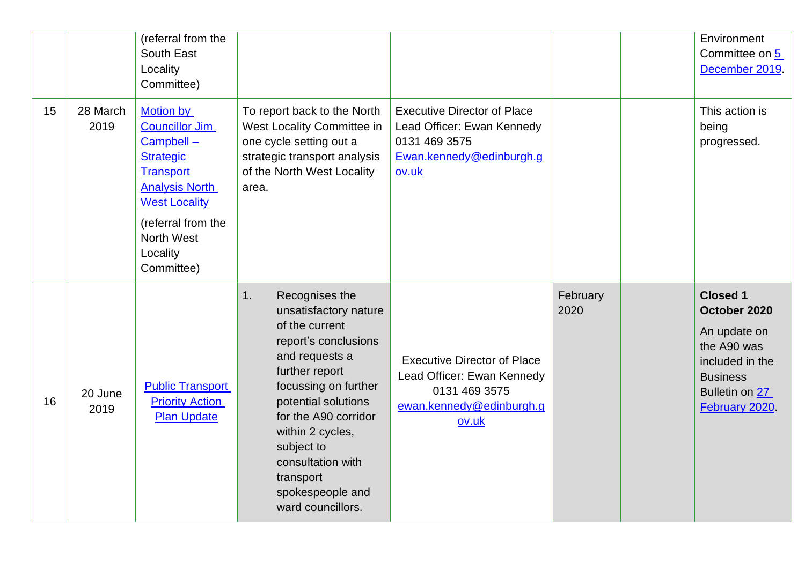|    |                  | (referral from the<br>South East<br>Locality<br>Committee)                                                                                                                                                    |                                                                                                                                                                                                                                                                                                                 |                                                                                                                        |                  | Environment<br>Committee on 5<br>December 2019.                                                                                          |
|----|------------------|---------------------------------------------------------------------------------------------------------------------------------------------------------------------------------------------------------------|-----------------------------------------------------------------------------------------------------------------------------------------------------------------------------------------------------------------------------------------------------------------------------------------------------------------|------------------------------------------------------------------------------------------------------------------------|------------------|------------------------------------------------------------------------------------------------------------------------------------------|
| 15 | 28 March<br>2019 | <b>Motion by</b><br><b>Councillor Jim</b><br>Campbell-<br><b>Strategic</b><br><b>Transport</b><br><b>Analysis North</b><br><b>West Locality</b><br>(referral from the<br>North West<br>Locality<br>Committee) | To report back to the North<br>West Locality Committee in<br>one cycle setting out a<br>strategic transport analysis<br>of the North West Locality<br>area.                                                                                                                                                     | <b>Executive Director of Place</b><br>Lead Officer: Ewan Kennedy<br>0131 469 3575<br>Ewan.kennedy@edinburgh.g<br>ov.uk |                  | This action is<br>being<br>progressed.                                                                                                   |
| 16 | 20 June<br>2019  | <b>Public Transport</b><br><b>Priority Action</b><br><b>Plan Update</b>                                                                                                                                       | 1.<br>Recognises the<br>unsatisfactory nature<br>of the current<br>report's conclusions<br>and requests a<br>further report<br>focussing on further<br>potential solutions<br>for the A90 corridor<br>within 2 cycles,<br>subject to<br>consultation with<br>transport<br>spokespeople and<br>ward councillors. | <b>Executive Director of Place</b><br>Lead Officer: Ewan Kennedy<br>0131 469 3575<br>ewan.kennedy@edinburgh.g<br>ov.uk | February<br>2020 | <b>Closed 1</b><br>October 2020<br>An update on<br>the A90 was<br>included in the<br><b>Business</b><br>Bulletin on 27<br>February 2020. |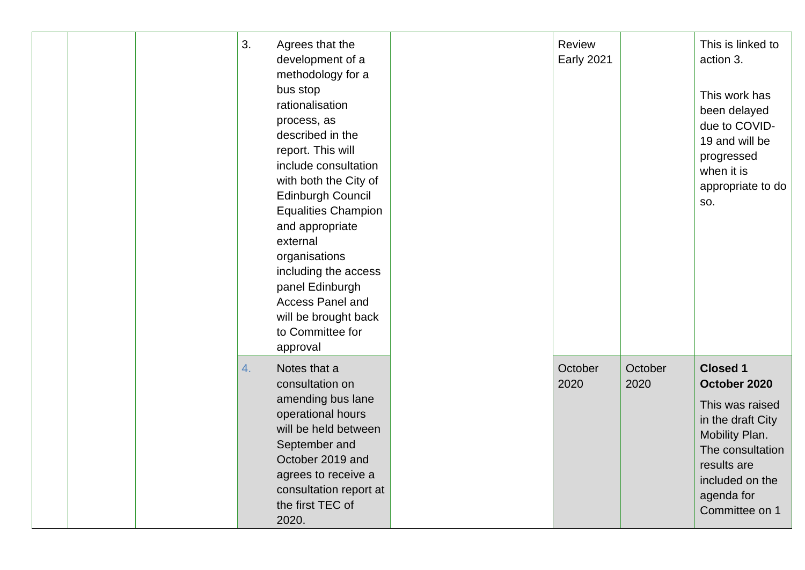| 3.<br>Agrees that the<br>development of a<br>methodology for a<br>bus stop<br>rationalisation<br>process, as<br>described in the<br>report. This will<br>include consultation<br>with both the City of<br>Edinburgh Council<br><b>Equalities Champion</b><br>and appropriate<br>external<br>organisations<br>including the access<br>panel Edinburgh<br><b>Access Panel and</b><br>will be brought back<br>to Committee for<br>approval | <b>Review</b><br><b>Early 2021</b> |                 | This is linked to<br>action 3.<br>This work has<br>been delayed<br>due to COVID-<br>19 and will be<br>progressed<br>when it is<br>appropriate to do<br>SO.                      |
|-----------------------------------------------------------------------------------------------------------------------------------------------------------------------------------------------------------------------------------------------------------------------------------------------------------------------------------------------------------------------------------------------------------------------------------------|------------------------------------|-----------------|---------------------------------------------------------------------------------------------------------------------------------------------------------------------------------|
| Notes that a<br>4.<br>consultation on<br>amending bus lane<br>operational hours<br>will be held between<br>September and<br>October 2019 and<br>agrees to receive a<br>consultation report at<br>the first TEC of<br>2020.                                                                                                                                                                                                              | October<br>2020                    | October<br>2020 | <b>Closed 1</b><br>October 2020<br>This was raised<br>in the draft City<br>Mobility Plan.<br>The consultation<br>results are<br>included on the<br>agenda for<br>Committee on 1 |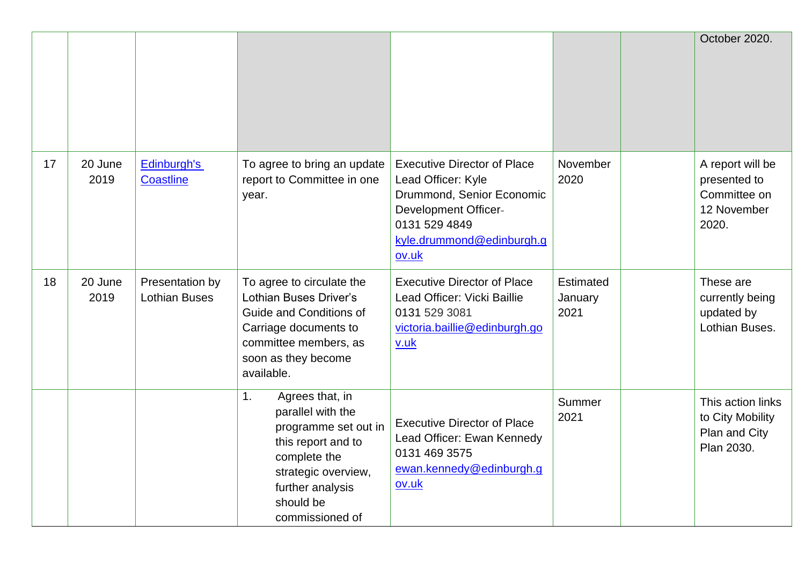|    |                 |                                         |                                                                                                                                                                                                 |                                                                                                                                                                             |                              | October 2020.                                                            |
|----|-----------------|-----------------------------------------|-------------------------------------------------------------------------------------------------------------------------------------------------------------------------------------------------|-----------------------------------------------------------------------------------------------------------------------------------------------------------------------------|------------------------------|--------------------------------------------------------------------------|
| 17 | 20 June<br>2019 | Edinburgh's<br>Coastline                | To agree to bring an update<br>report to Committee in one<br>year.                                                                                                                              | <b>Executive Director of Place</b><br>Lead Officer: Kyle<br>Drummond, Senior Economic<br><b>Development Officer-</b><br>0131 529 4849<br>kyle.drummond@edinburgh.g<br>ov.uk | November<br>2020             | A report will be<br>presented to<br>Committee on<br>12 November<br>2020. |
| 18 | 20 June<br>2019 | Presentation by<br><b>Lothian Buses</b> | To agree to circulate the<br>Lothian Buses Driver's<br>Guide and Conditions of<br>Carriage documents to<br>committee members, as<br>soon as they become<br>available.                           | <b>Executive Director of Place</b><br>Lead Officer: Vicki Baillie<br>0131 529 3081<br>victoria.baillie@edinburgh.go<br>$uu$ k                                               | Estimated<br>January<br>2021 | These are<br>currently being<br>updated by<br>Lothian Buses.             |
|    |                 |                                         | Agrees that, in<br>1 <sub>1</sub><br>parallel with the<br>programme set out in<br>this report and to<br>complete the<br>strategic overview,<br>further analysis<br>should be<br>commissioned of | <b>Executive Director of Place</b><br>Lead Officer: Ewan Kennedy<br>0131 469 3575<br>ewan.kennedy@edinburgh.g<br>ov.uk                                                      | Summer<br>2021               | This action links<br>to City Mobility<br>Plan and City<br>Plan 2030.     |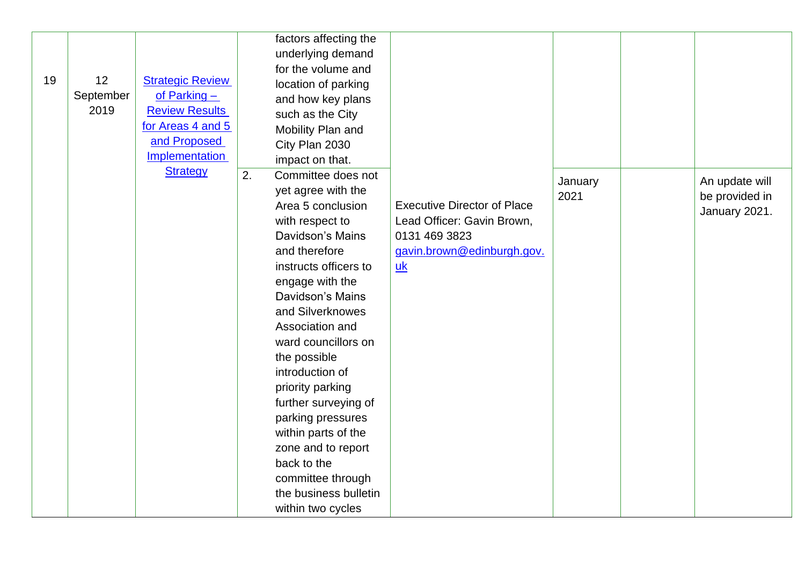|    |           |                         | factors affecting the<br>underlying demand |                                    |         |                |
|----|-----------|-------------------------|--------------------------------------------|------------------------------------|---------|----------------|
|    |           |                         | for the volume and                         |                                    |         |                |
| 19 | 12        | <b>Strategic Review</b> | location of parking                        |                                    |         |                |
|    | September | of Parking $-$          | and how key plans                          |                                    |         |                |
|    | 2019      | <b>Review Results</b>   | such as the City                           |                                    |         |                |
|    |           | for Areas 4 and 5       | Mobility Plan and                          |                                    |         |                |
|    |           | and Proposed            | City Plan 2030                             |                                    |         |                |
|    |           | Implementation          | impact on that.                            |                                    |         |                |
|    |           | <b>Strategy</b>         | 2.<br>Committee does not                   |                                    | January | An update will |
|    |           |                         | yet agree with the                         |                                    | 2021    | be provided in |
|    |           |                         | Area 5 conclusion                          | <b>Executive Director of Place</b> |         | January 2021.  |
|    |           |                         | with respect to                            | Lead Officer: Gavin Brown,         |         |                |
|    |           |                         | Davidson's Mains                           | 0131 469 3823                      |         |                |
|    |           |                         | and therefore                              | gavin.brown@edinburgh.gov.         |         |                |
|    |           |                         | instructs officers to                      | uk                                 |         |                |
|    |           |                         | engage with the                            |                                    |         |                |
|    |           |                         | Davidson's Mains                           |                                    |         |                |
|    |           |                         | and Silverknowes                           |                                    |         |                |
|    |           |                         | Association and                            |                                    |         |                |
|    |           |                         | ward councillors on                        |                                    |         |                |
|    |           |                         | the possible                               |                                    |         |                |
|    |           |                         | introduction of                            |                                    |         |                |
|    |           |                         | priority parking                           |                                    |         |                |
|    |           |                         | further surveying of                       |                                    |         |                |
|    |           |                         | parking pressures                          |                                    |         |                |
|    |           |                         | within parts of the                        |                                    |         |                |
|    |           |                         | zone and to report                         |                                    |         |                |
|    |           |                         | back to the                                |                                    |         |                |
|    |           |                         | committee through                          |                                    |         |                |
|    |           |                         | the business bulletin                      |                                    |         |                |
|    |           |                         | within two cycles                          |                                    |         |                |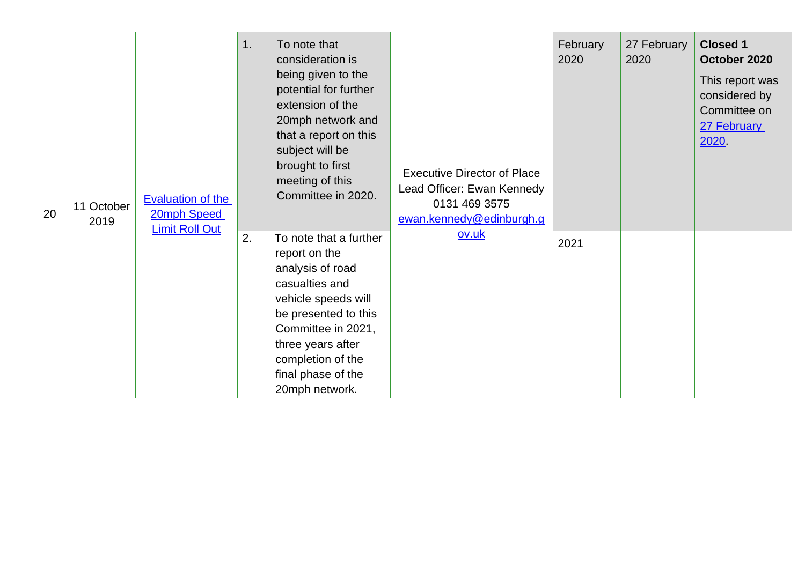| 20 | 11 October<br>2019 | <b>Evaluation of the</b><br>20mph Speed<br><b>Limit Roll Out</b> | 1. | To note that<br>consideration is<br>being given to the<br>potential for further<br>extension of the<br>20mph network and<br>that a report on this<br>subject will be<br>brought to first<br>meeting of this<br>Committee in 2020.    | <b>Executive Director of Place</b><br>Lead Officer: Ewan Kennedy<br>0131 469 3575<br>ewan.kennedy@edinburgh.g | February<br>2020 | 27 February<br>2020 | <b>Closed 1</b><br>October 2020<br>This report was<br>considered by<br>Committee on<br>27 February<br>2020 |
|----|--------------------|------------------------------------------------------------------|----|--------------------------------------------------------------------------------------------------------------------------------------------------------------------------------------------------------------------------------------|---------------------------------------------------------------------------------------------------------------|------------------|---------------------|------------------------------------------------------------------------------------------------------------|
|    |                    |                                                                  | 2. | To note that a further<br>report on the<br>analysis of road<br>casualties and<br>vehicle speeds will<br>be presented to this<br>Committee in 2021,<br>three years after<br>completion of the<br>final phase of the<br>20mph network. | ov.uk                                                                                                         | 2021             |                     |                                                                                                            |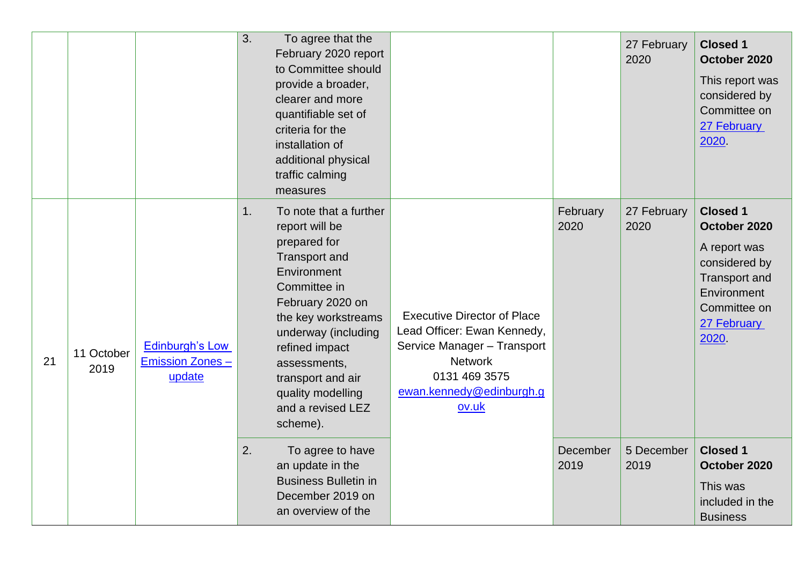|    |                    |                                                            | 3. | To agree that the<br>February 2020 report<br>to Committee should<br>provide a broader,<br>clearer and more<br>quantifiable set of<br>criteria for the<br>installation of<br>additional physical<br>traffic calming<br>measures                                                                 |                                                                                                                                                                          |                  | 27 February<br>2020 | <b>Closed 1</b><br>October 2020<br>This report was<br>considered by<br>Committee on<br>27 February<br>2020                                      |
|----|--------------------|------------------------------------------------------------|----|------------------------------------------------------------------------------------------------------------------------------------------------------------------------------------------------------------------------------------------------------------------------------------------------|--------------------------------------------------------------------------------------------------------------------------------------------------------------------------|------------------|---------------------|-------------------------------------------------------------------------------------------------------------------------------------------------|
| 21 | 11 October<br>2019 | <b>Edinburgh's Low</b><br><b>Emission Zones-</b><br>update | 1. | To note that a further<br>report will be<br>prepared for<br><b>Transport and</b><br>Environment<br>Committee in<br>February 2020 on<br>the key workstreams<br>underway (including<br>refined impact<br>assessments,<br>transport and air<br>quality modelling<br>and a revised LEZ<br>scheme). | <b>Executive Director of Place</b><br>Lead Officer: Ewan Kennedy,<br>Service Manager - Transport<br><b>Network</b><br>0131 469 3575<br>ewan.kennedy@edinburgh.g<br>ov.uk | February<br>2020 | 27 February<br>2020 | <b>Closed 1</b><br>October 2020<br>A report was<br>considered by<br><b>Transport and</b><br>Environment<br>Committee on<br>27 February<br>2020. |
|    |                    |                                                            | 2. | To agree to have<br>an update in the<br><b>Business Bulletin in</b><br>December 2019 on<br>an overview of the                                                                                                                                                                                  |                                                                                                                                                                          | December<br>2019 | 5 December<br>2019  | <b>Closed 1</b><br>October 2020<br>This was<br>included in the<br><b>Business</b>                                                               |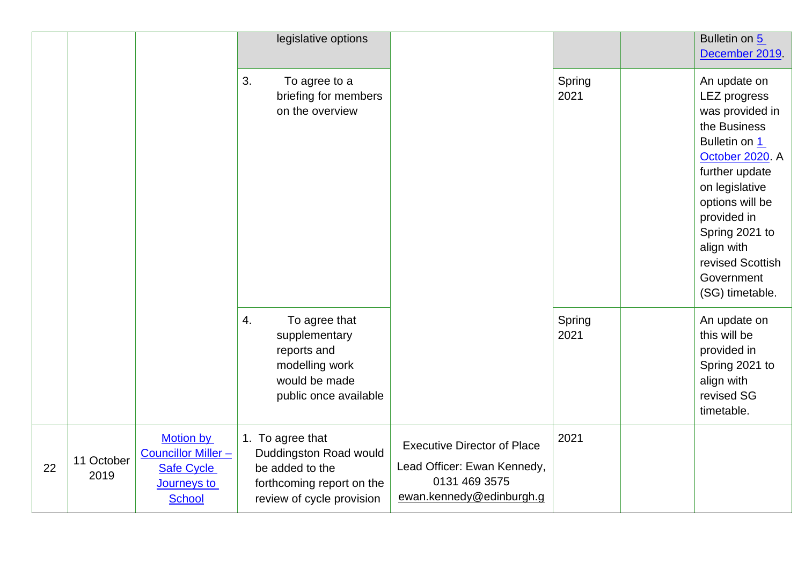|    |                    |                                                                                                    | legislative options                                                                                                     |                                                                                                                |                | Bulletin on 5<br>December 2019.                                                                                                                                                                                                                                       |
|----|--------------------|----------------------------------------------------------------------------------------------------|-------------------------------------------------------------------------------------------------------------------------|----------------------------------------------------------------------------------------------------------------|----------------|-----------------------------------------------------------------------------------------------------------------------------------------------------------------------------------------------------------------------------------------------------------------------|
|    |                    |                                                                                                    | 3.<br>To agree to a<br>briefing for members<br>on the overview                                                          |                                                                                                                | Spring<br>2021 | An update on<br><b>LEZ progress</b><br>was provided in<br>the Business<br>Bulletin on 1<br>October 2020. A<br>further update<br>on legislative<br>options will be<br>provided in<br>Spring 2021 to<br>align with<br>revised Scottish<br>Government<br>(SG) timetable. |
|    |                    |                                                                                                    | 4.<br>To agree that<br>supplementary<br>reports and<br>modelling work<br>would be made<br>public once available         |                                                                                                                | Spring<br>2021 | An update on<br>this will be<br>provided in<br>Spring 2021 to<br>align with<br>revised SG<br>timetable.                                                                                                                                                               |
| 22 | 11 October<br>2019 | <b>Motion by</b><br><b>Councillor Miller-</b><br><b>Safe Cycle</b><br>Journeys to<br><b>School</b> | 1. To agree that<br>Duddingston Road would<br>be added to the<br>forthcoming report on the<br>review of cycle provision | <b>Executive Director of Place</b><br>Lead Officer: Ewan Kennedy,<br>0131 469 3575<br>ewan.kennedy@edinburgh.g | 2021           |                                                                                                                                                                                                                                                                       |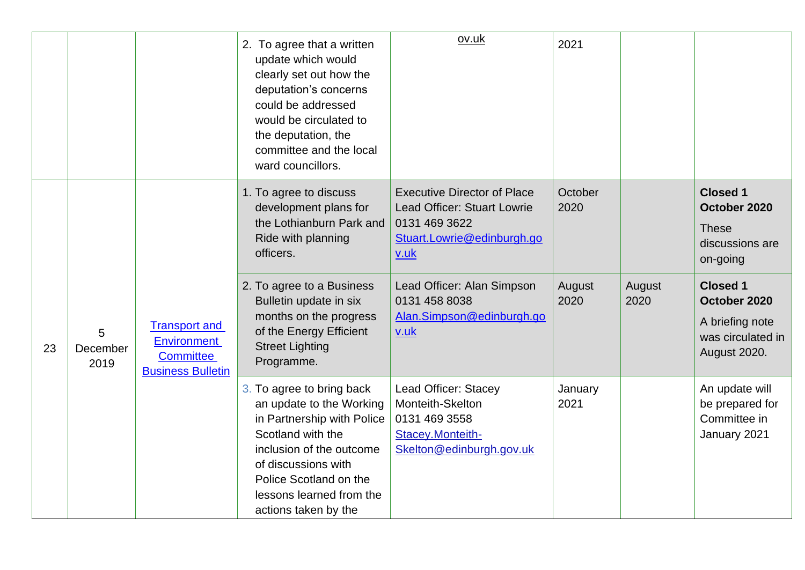|    |                       |                                                                                     | 2. To agree that a written<br>update which would<br>clearly set out how the<br>deputation's concerns<br>could be addressed<br>would be circulated to<br>the deputation, the<br>committee and the local<br>ward councillors.               | ov.uk                                                                                                                           | 2021            |                |                                                                                         |
|----|-----------------------|-------------------------------------------------------------------------------------|-------------------------------------------------------------------------------------------------------------------------------------------------------------------------------------------------------------------------------------------|---------------------------------------------------------------------------------------------------------------------------------|-----------------|----------------|-----------------------------------------------------------------------------------------|
|    |                       |                                                                                     | 1. To agree to discuss<br>development plans for<br>the Lothianburn Park and<br>Ride with planning<br>officers.                                                                                                                            | <b>Executive Director of Place</b><br><b>Lead Officer: Stuart Lowrie</b><br>0131 469 3622<br>Stuart.Lowrie@edinburgh.go<br>v.uk | October<br>2020 |                | <b>Closed 1</b><br>October 2020<br><b>These</b><br>discussions are<br>on-going          |
| 23 | 5<br>December<br>2019 | <b>Transport and</b><br><b>Environment</b><br>Committee<br><b>Business Bulletin</b> | 2. To agree to a Business<br>Bulletin update in six<br>months on the progress<br>of the Energy Efficient<br><b>Street Lighting</b><br>Programme.                                                                                          | Lead Officer: Alan Simpson<br>0131 458 8038<br>Alan.Simpson@edinburgh.go<br>v.uk                                                | August<br>2020  | August<br>2020 | <b>Closed 1</b><br>October 2020<br>A briefing note<br>was circulated in<br>August 2020. |
|    |                       |                                                                                     | 3. To agree to bring back<br>an update to the Working<br>in Partnership with Police<br>Scotland with the<br>inclusion of the outcome<br>of discussions with<br>Police Scotland on the<br>lessons learned from the<br>actions taken by the | Lead Officer: Stacey<br>Monteith-Skelton<br>0131 469 3558<br>Stacey.Monteith-<br>Skelton@edinburgh.gov.uk                       | January<br>2021 |                | An update will<br>be prepared for<br>Committee in<br>January 2021                       |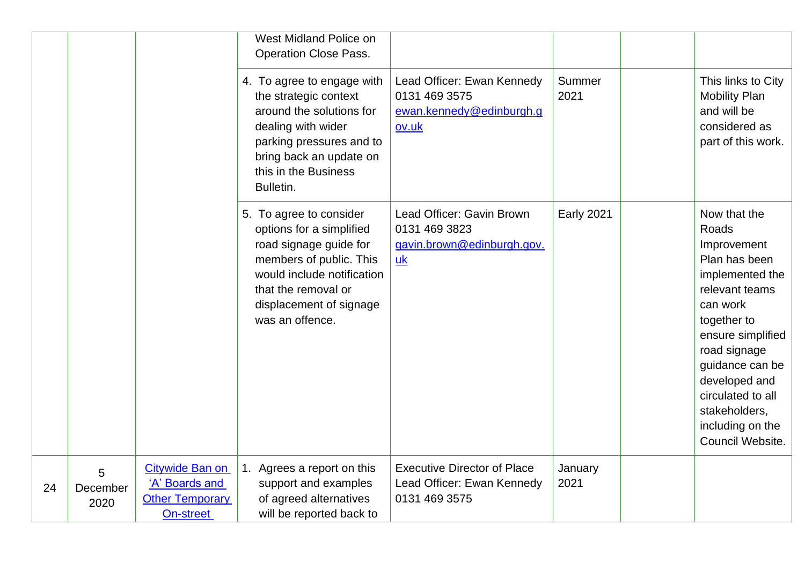|    |                       |                                                                          | West Midland Police on<br><b>Operation Close Pass.</b>                                                                                                                                                      |                                                                                   |                   |                                                                                                                                                                                                                                                                              |
|----|-----------------------|--------------------------------------------------------------------------|-------------------------------------------------------------------------------------------------------------------------------------------------------------------------------------------------------------|-----------------------------------------------------------------------------------|-------------------|------------------------------------------------------------------------------------------------------------------------------------------------------------------------------------------------------------------------------------------------------------------------------|
|    |                       |                                                                          | 4. To agree to engage with<br>the strategic context<br>around the solutions for<br>dealing with wider<br>parking pressures and to<br>bring back an update on<br>this in the Business<br>Bulletin.           | Lead Officer: Ewan Kennedy<br>0131 469 3575<br>ewan.kennedy@edinburgh.g<br>ov.uk  | Summer<br>2021    | This links to City<br><b>Mobility Plan</b><br>and will be<br>considered as<br>part of this work.                                                                                                                                                                             |
|    |                       |                                                                          | 5. To agree to consider<br>options for a simplified<br>road signage guide for<br>members of public. This<br>would include notification<br>that the removal or<br>displacement of signage<br>was an offence. | Lead Officer: Gavin Brown<br>0131 469 3823<br>gavin.brown@edinburgh.gov.<br>uk    | <b>Early 2021</b> | Now that the<br>Roads<br>Improvement<br>Plan has been<br>implemented the<br>relevant teams<br>can work<br>together to<br>ensure simplified<br>road signage<br>guidance can be<br>developed and<br>circulated to all<br>stakeholders,<br>including on the<br>Council Website. |
| 24 | 5<br>December<br>2020 | Citywide Ban on<br>'A' Boards and<br><b>Other Temporary</b><br>On-street | 1. Agrees a report on this<br>support and examples<br>of agreed alternatives<br>will be reported back to                                                                                                    | <b>Executive Director of Place</b><br>Lead Officer: Ewan Kennedy<br>0131 469 3575 | January<br>2021   |                                                                                                                                                                                                                                                                              |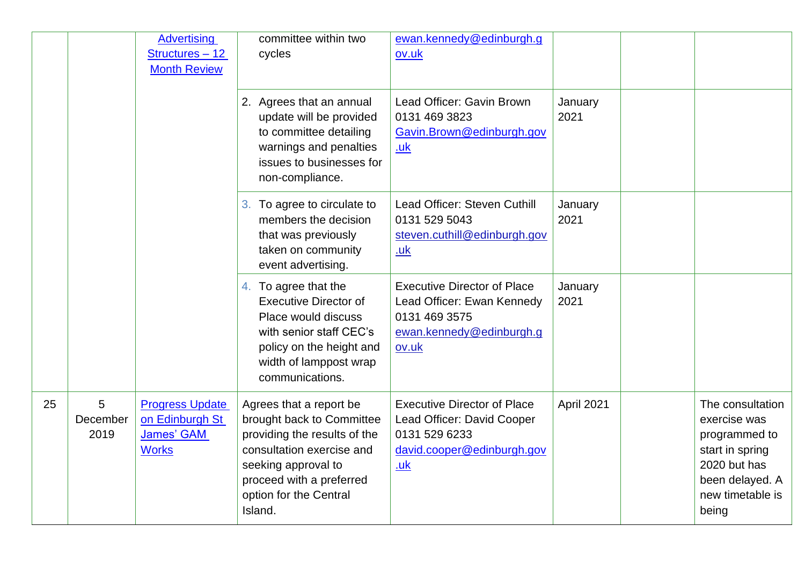|    |                       | <b>Advertising</b><br>Structures - 12<br><b>Month Review</b>                   | committee within two<br>cycles                                                                                                                                                                            | ewan.kennedy@edinburgh.g<br>ov.uk                                                                                             |                 |                                                                                                                                      |
|----|-----------------------|--------------------------------------------------------------------------------|-----------------------------------------------------------------------------------------------------------------------------------------------------------------------------------------------------------|-------------------------------------------------------------------------------------------------------------------------------|-----------------|--------------------------------------------------------------------------------------------------------------------------------------|
|    |                       |                                                                                | 2. Agrees that an annual<br>update will be provided<br>to committee detailing<br>warnings and penalties<br>issues to businesses for<br>non-compliance.                                                    | Lead Officer: Gavin Brown<br>0131 469 3823<br>Gavin.Brown@edinburgh.gov<br><u>.uk</u>                                         | January<br>2021 |                                                                                                                                      |
|    |                       |                                                                                | To agree to circulate to<br>3.<br>members the decision<br>that was previously<br>taken on community<br>event advertising.                                                                                 | Lead Officer: Steven Cuthill<br>0131 529 5043<br>steven.cuthill@edinburgh.gov<br><u>.uk</u>                                   | January<br>2021 |                                                                                                                                      |
|    |                       |                                                                                | 4. To agree that the<br><b>Executive Director of</b><br>Place would discuss<br>with senior staff CEC's<br>policy on the height and<br>width of lamppost wrap<br>communications.                           | <b>Executive Director of Place</b><br>Lead Officer: Ewan Kennedy<br>0131 469 3575<br>ewan.kennedy@edinburgh.g<br>ov.uk        | January<br>2021 |                                                                                                                                      |
| 25 | 5<br>December<br>2019 | <b>Progress Update</b><br>on Edinburgh St<br><b>James' GAM</b><br><b>Works</b> | Agrees that a report be<br>brought back to Committee<br>providing the results of the<br>consultation exercise and<br>seeking approval to<br>proceed with a preferred<br>option for the Central<br>Island. | <b>Executive Director of Place</b><br>Lead Officer: David Cooper<br>0131 529 6233<br>david.cooper@edinburgh.gov<br><u>.uk</u> | April 2021      | The consultation<br>exercise was<br>programmed to<br>start in spring<br>2020 but has<br>been delayed. A<br>new timetable is<br>being |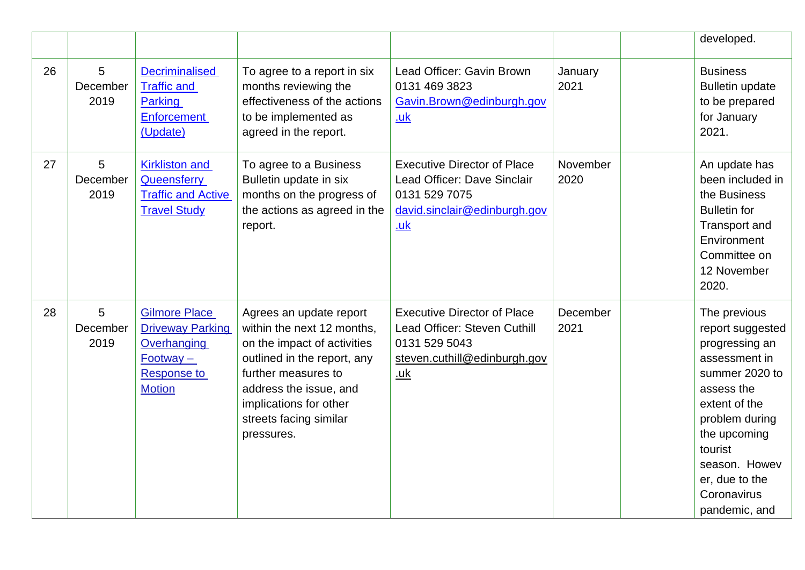|    |                       |                                                                                                                      |                                                                                                                                                                                                                                        |                                                                                                                                   |                  | developed.                                                                                                                                                                                                                           |
|----|-----------------------|----------------------------------------------------------------------------------------------------------------------|----------------------------------------------------------------------------------------------------------------------------------------------------------------------------------------------------------------------------------------|-----------------------------------------------------------------------------------------------------------------------------------|------------------|--------------------------------------------------------------------------------------------------------------------------------------------------------------------------------------------------------------------------------------|
| 26 | 5<br>December<br>2019 | <b>Decriminalised</b><br><b>Traffic and</b><br>Parking<br>Enforcement<br>(Update)                                    | To agree to a report in six<br>months reviewing the<br>effectiveness of the actions<br>to be implemented as<br>agreed in the report.                                                                                                   | Lead Officer: Gavin Brown<br>0131 469 3823<br>Gavin.Brown@edinburgh.gov<br><u>.uk</u>                                             | January<br>2021  | <b>Business</b><br><b>Bulletin update</b><br>to be prepared<br>for January<br>2021.                                                                                                                                                  |
| 27 | 5<br>December<br>2019 | <b>Kirkliston and</b><br>Queensferry<br><b>Traffic and Active</b><br><b>Travel Study</b>                             | To agree to a Business<br>Bulletin update in six<br>months on the progress of<br>the actions as agreed in the<br>report.                                                                                                               | <b>Executive Director of Place</b><br>Lead Officer: Dave Sinclair<br>0131 529 7075<br>david.sinclair@edinburgh.gov<br><u>.uk</u>  | November<br>2020 | An update has<br>been included in<br>the Business<br><b>Bulletin for</b><br><b>Transport and</b><br>Environment<br>Committee on<br>12 November<br>2020.                                                                              |
| 28 | 5<br>December<br>2019 | <b>Gilmore Place</b><br><b>Driveway Parking</b><br>Overhanging<br>$Footway -$<br><b>Response to</b><br><b>Motion</b> | Agrees an update report<br>within the next 12 months,<br>on the impact of activities<br>outlined in the report, any<br>further measures to<br>address the issue, and<br>implications for other<br>streets facing similar<br>pressures. | <b>Executive Director of Place</b><br>Lead Officer: Steven Cuthill<br>0131 529 5043<br>steven.cuthill@edinburgh.gov<br><u>.uk</u> | December<br>2021 | The previous<br>report suggested<br>progressing an<br>assessment in<br>summer 2020 to<br>assess the<br>extent of the<br>problem during<br>the upcoming<br>tourist<br>season. Howev<br>er, due to the<br>Coronavirus<br>pandemic, and |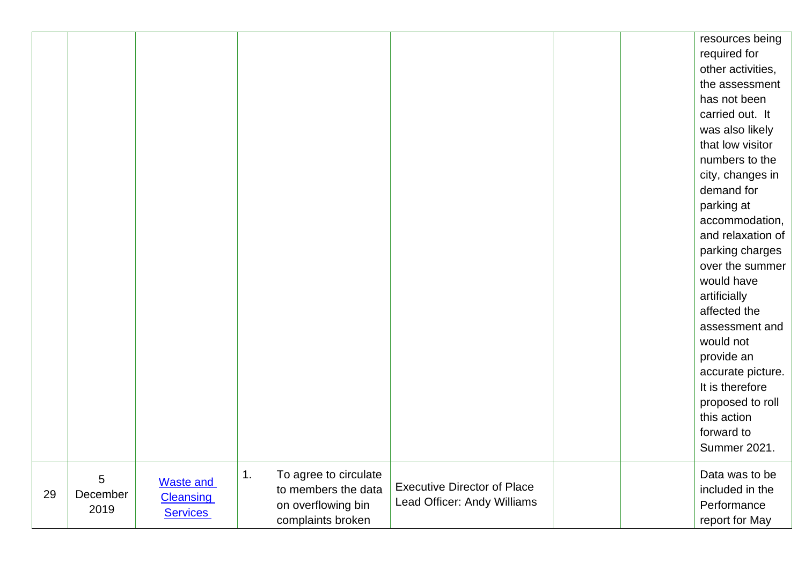|    |                       |                                                         |                                                                                               |                                                                   |  | resources being<br>required for<br>other activities,<br>the assessment<br>has not been<br>carried out. It<br>was also likely<br>that low visitor<br>numbers to the<br>city, changes in<br>demand for<br>parking at<br>accommodation,<br>and relaxation of<br>parking charges<br>over the summer<br>would have<br>artificially<br>affected the<br>assessment and<br>would not<br>provide an<br>accurate picture.<br>It is therefore<br>proposed to roll<br>this action<br>forward to<br><b>Summer 2021.</b> |
|----|-----------------------|---------------------------------------------------------|-----------------------------------------------------------------------------------------------|-------------------------------------------------------------------|--|------------------------------------------------------------------------------------------------------------------------------------------------------------------------------------------------------------------------------------------------------------------------------------------------------------------------------------------------------------------------------------------------------------------------------------------------------------------------------------------------------------|
| 29 | 5<br>December<br>2019 | <b>Waste and</b><br><b>Cleansing</b><br><b>Services</b> | To agree to circulate<br>1.<br>to members the data<br>on overflowing bin<br>complaints broken | <b>Executive Director of Place</b><br>Lead Officer: Andy Williams |  | Data was to be<br>included in the<br>Performance<br>report for May                                                                                                                                                                                                                                                                                                                                                                                                                                         |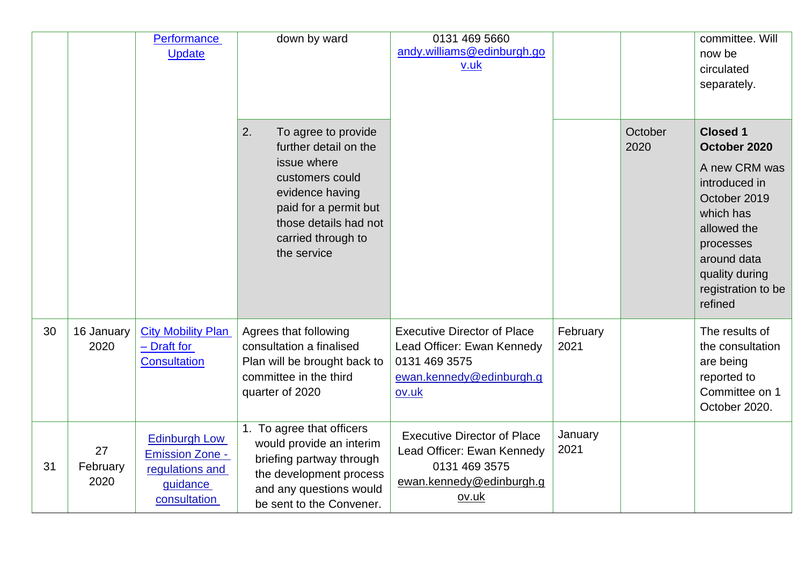|    |                        | <b>Performance</b><br><b>Update</b>                                                           | down by ward                                                                                                                                                                                   | 0131 469 5660<br>andy.williams@edinburgh.go<br>v.uk                                                                    |                  |                 | committee. Will<br>now be<br>circulated<br>separately.                                                                                                                                       |
|----|------------------------|-----------------------------------------------------------------------------------------------|------------------------------------------------------------------------------------------------------------------------------------------------------------------------------------------------|------------------------------------------------------------------------------------------------------------------------|------------------|-----------------|----------------------------------------------------------------------------------------------------------------------------------------------------------------------------------------------|
|    |                        |                                                                                               | 2.<br>To agree to provide<br>further detail on the<br>issue where<br>customers could<br>evidence having<br>paid for a permit but<br>those details had not<br>carried through to<br>the service |                                                                                                                        |                  | October<br>2020 | <b>Closed 1</b><br>October 2020<br>A new CRM was<br>introduced in<br>October 2019<br>which has<br>allowed the<br>processes<br>around data<br>quality during<br>registration to be<br>refined |
| 30 | 16 January<br>2020     | <b>City Mobility Plan</b><br>- Draft for<br><b>Consultation</b>                               | Agrees that following<br>consultation a finalised<br>Plan will be brought back to<br>committee in the third<br>quarter of 2020                                                                 | <b>Executive Director of Place</b><br>Lead Officer: Ewan Kennedy<br>0131 469 3575<br>ewan.kennedy@edinburgh.g<br>ov.uk | February<br>2021 |                 | The results of<br>the consultation<br>are being<br>reported to<br>Committee on 1<br>October 2020.                                                                                            |
| 31 | 27<br>February<br>2020 | <b>Edinburgh Low</b><br><b>Emission Zone -</b><br>regulations and<br>guidance<br>consultation | 1. To agree that officers<br>would provide an interim<br>briefing partway through<br>the development process<br>and any questions would<br>be sent to the Convener.                            | <b>Executive Director of Place</b><br>Lead Officer: Ewan Kennedy<br>0131 469 3575<br>ewan.kennedy@edinburgh.g<br>ov.uk | January<br>2021  |                 |                                                                                                                                                                                              |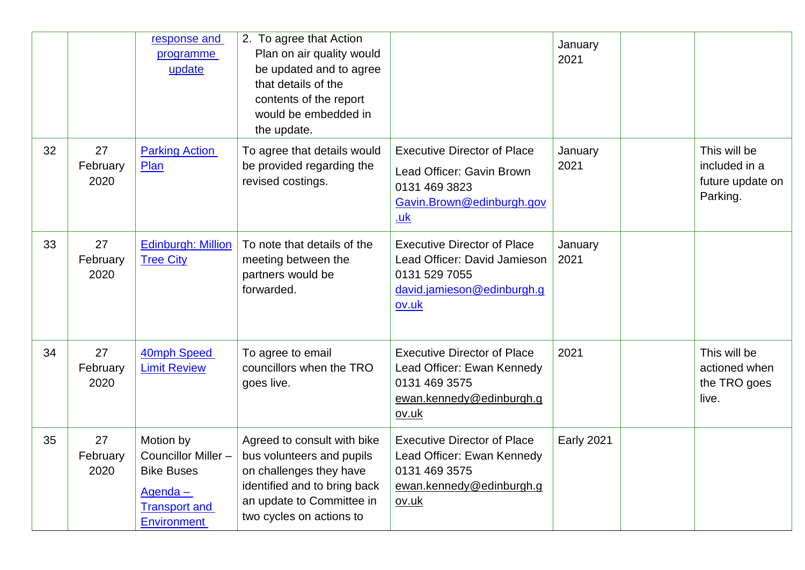|    |                        | response and<br>programme<br>update                                                                           | 2. To agree that Action<br>Plan on air quality would<br>be updated and to agree<br>that details of the<br>contents of the report<br>would be embedded in<br>the update.      |                                                                                                                             | January<br>2021   |                                                               |
|----|------------------------|---------------------------------------------------------------------------------------------------------------|------------------------------------------------------------------------------------------------------------------------------------------------------------------------------|-----------------------------------------------------------------------------------------------------------------------------|-------------------|---------------------------------------------------------------|
| 32 | 27<br>February<br>2020 | <b>Parking Action</b><br>Plan                                                                                 | To agree that details would<br>be provided regarding the<br>revised costings.                                                                                                | <b>Executive Director of Place</b><br>Lead Officer: Gavin Brown<br>0131 469 3823<br>Gavin.Brown@edinburgh.gov<br><u>.uk</u> | January<br>2021   | This will be<br>included in a<br>future update on<br>Parking. |
| 33 | 27<br>February<br>2020 | <b>Edinburgh: Million</b><br><b>Tree City</b>                                                                 | To note that details of the<br>meeting between the<br>partners would be<br>forwarded.                                                                                        | <b>Executive Director of Place</b><br>Lead Officer: David Jamieson<br>0131 529 7055<br>david.jamieson@edinburgh.g<br>ov.uk  | January<br>2021   |                                                               |
| 34 | 27<br>February<br>2020 | 40mph Speed<br><b>Limit Review</b>                                                                            | To agree to email<br>councillors when the TRO<br>goes live.                                                                                                                  | <b>Executive Director of Place</b><br>Lead Officer: Ewan Kennedy<br>0131 469 3575<br>ewan.kennedy@edinburgh.g<br>ov.uk      | 2021              | This will be<br>actioned when<br>the TRO goes<br>live.        |
| 35 | 27<br>February<br>2020 | Motion by<br>Councillor Miller-<br><b>Bike Buses</b><br>Agenda-<br><b>Transport and</b><br><b>Environment</b> | Agreed to consult with bike<br>bus volunteers and pupils<br>on challenges they have<br>identified and to bring back<br>an update to Committee in<br>two cycles on actions to | <b>Executive Director of Place</b><br>Lead Officer: Ewan Kennedy<br>0131 469 3575<br>ewan.kennedy@edinburgh.g<br>ov.uk      | <b>Early 2021</b> |                                                               |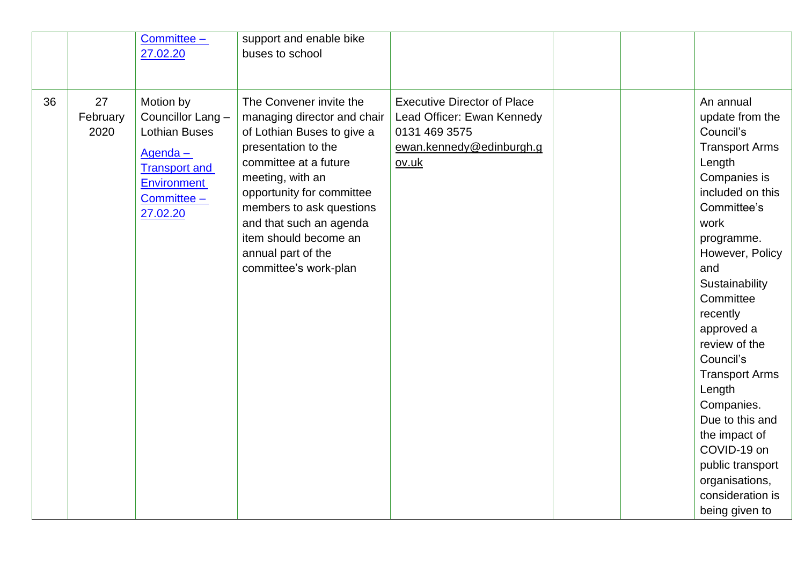|    |                        | Committee -                                                                                                                                | support and enable bike                                                                                                                                                                                                                                                                                              |                                                                                                                        |  |                                                                                                                                                                                                                                                                                                                                                                                                                                                        |
|----|------------------------|--------------------------------------------------------------------------------------------------------------------------------------------|----------------------------------------------------------------------------------------------------------------------------------------------------------------------------------------------------------------------------------------------------------------------------------------------------------------------|------------------------------------------------------------------------------------------------------------------------|--|--------------------------------------------------------------------------------------------------------------------------------------------------------------------------------------------------------------------------------------------------------------------------------------------------------------------------------------------------------------------------------------------------------------------------------------------------------|
|    |                        | 27.02.20                                                                                                                                   | buses to school                                                                                                                                                                                                                                                                                                      |                                                                                                                        |  |                                                                                                                                                                                                                                                                                                                                                                                                                                                        |
|    |                        |                                                                                                                                            |                                                                                                                                                                                                                                                                                                                      |                                                                                                                        |  |                                                                                                                                                                                                                                                                                                                                                                                                                                                        |
| 36 | 27<br>February<br>2020 | Motion by<br>Councillor Lang -<br><b>Lothian Buses</b><br>Agenda-<br><b>Transport and</b><br><b>Environment</b><br>Committee -<br>27.02.20 | The Convener invite the<br>managing director and chair<br>of Lothian Buses to give a<br>presentation to the<br>committee at a future<br>meeting, with an<br>opportunity for committee<br>members to ask questions<br>and that such an agenda<br>item should become an<br>annual part of the<br>committee's work-plan | <b>Executive Director of Place</b><br>Lead Officer: Ewan Kennedy<br>0131 469 3575<br>ewan.kennedy@edinburgh.g<br>ov.uk |  | An annual<br>update from the<br>Council's<br><b>Transport Arms</b><br>Length<br>Companies is<br>included on this<br>Committee's<br>work<br>programme.<br>However, Policy<br>and<br>Sustainability<br>Committee<br>recently<br>approved a<br>review of the<br>Council's<br><b>Transport Arms</b><br>Length<br>Companies.<br>Due to this and<br>the impact of<br>COVID-19 on<br>public transport<br>organisations,<br>consideration is<br>being given to |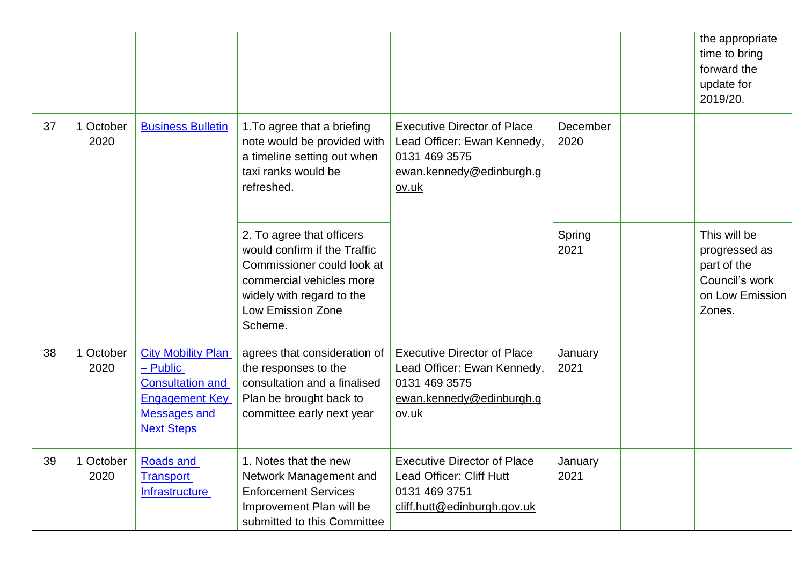|    |                   |                                                                                                                                         |                                                                                                                                                                                         |                                                                                                                         |                  | the appropriate<br>time to bring<br>forward the<br>update for<br>2019/20.                   |
|----|-------------------|-----------------------------------------------------------------------------------------------------------------------------------------|-----------------------------------------------------------------------------------------------------------------------------------------------------------------------------------------|-------------------------------------------------------------------------------------------------------------------------|------------------|---------------------------------------------------------------------------------------------|
| 37 | 1 October<br>2020 | <b>Business Bulletin</b>                                                                                                                | 1. To agree that a briefing<br>note would be provided with<br>a timeline setting out when<br>taxi ranks would be<br>refreshed.                                                          | <b>Executive Director of Place</b><br>Lead Officer: Ewan Kennedy,<br>0131 469 3575<br>ewan.kennedy@edinburgh.g<br>ov.uk | December<br>2020 |                                                                                             |
|    |                   |                                                                                                                                         | 2. To agree that officers<br>would confirm if the Traffic<br>Commissioner could look at<br>commercial vehicles more<br>widely with regard to the<br><b>Low Emission Zone</b><br>Scheme. |                                                                                                                         | Spring<br>2021   | This will be<br>progressed as<br>part of the<br>Council's work<br>on Low Emission<br>Zones. |
| 38 | 1 October<br>2020 | <b>City Mobility Plan</b><br>$-$ Public<br><b>Consultation and</b><br><b>Engagement Key</b><br><b>Messages and</b><br><b>Next Steps</b> | agrees that consideration of<br>the responses to the<br>consultation and a finalised<br>Plan be brought back to<br>committee early next year                                            | <b>Executive Director of Place</b><br>Lead Officer: Ewan Kennedy,<br>0131 469 3575<br>ewan.kennedy@edinburgh.g<br>ov.uk | January<br>2021  |                                                                                             |
| 39 | 1 October<br>2020 | <b>Roads and</b><br><b>Transport</b><br><b>Infrastructure</b>                                                                           | 1. Notes that the new<br>Network Management and<br><b>Enforcement Services</b><br>Improvement Plan will be<br>submitted to this Committee                                               | <b>Executive Director of Place</b><br>Lead Officer: Cliff Hutt<br>0131 469 3751<br>cliff.hutt@edinburgh.gov.uk          | January<br>2021  |                                                                                             |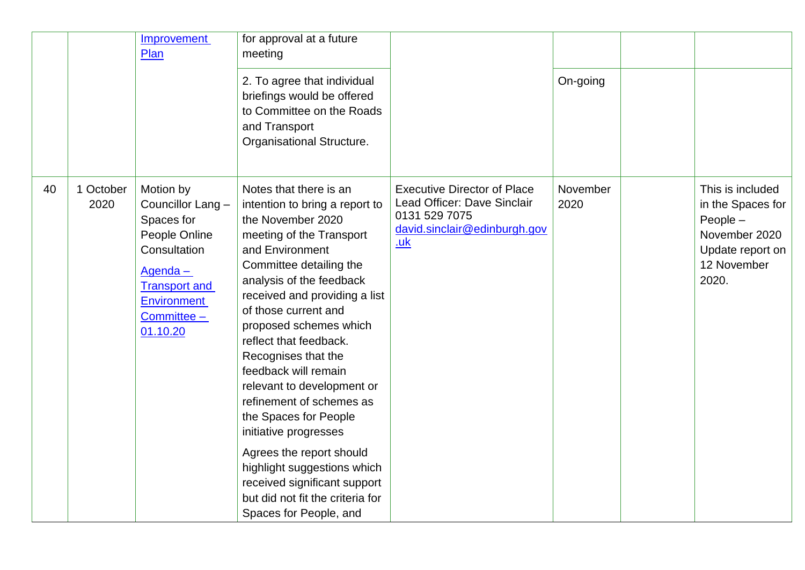|    |                   | Improvement<br>Plan                                                                                                                                               | for approval at a future<br>meeting<br>2. To agree that individual<br>briefings would be offered<br>to Committee on the Roads<br>and Transport<br>Organisational Structure.                                                                                                                                                                                                                                                                                                                                                                                                                                          |                                                                                                                                  | On-going         |                                                                                                                  |
|----|-------------------|-------------------------------------------------------------------------------------------------------------------------------------------------------------------|----------------------------------------------------------------------------------------------------------------------------------------------------------------------------------------------------------------------------------------------------------------------------------------------------------------------------------------------------------------------------------------------------------------------------------------------------------------------------------------------------------------------------------------------------------------------------------------------------------------------|----------------------------------------------------------------------------------------------------------------------------------|------------------|------------------------------------------------------------------------------------------------------------------|
| 40 | 1 October<br>2020 | Motion by<br>Councillor Lang -<br>Spaces for<br>People Online<br>Consultation<br>Agenda-<br><b>Transport and</b><br><b>Environment</b><br>Committee -<br>01.10.20 | Notes that there is an<br>intention to bring a report to<br>the November 2020<br>meeting of the Transport<br>and Environment<br>Committee detailing the<br>analysis of the feedback<br>received and providing a list<br>of those current and<br>proposed schemes which<br>reflect that feedback.<br>Recognises that the<br>feedback will remain<br>relevant to development or<br>refinement of schemes as<br>the Spaces for People<br>initiative progresses<br>Agrees the report should<br>highlight suggestions which<br>received significant support<br>but did not fit the criteria for<br>Spaces for People, and | <b>Executive Director of Place</b><br>Lead Officer: Dave Sinclair<br>0131 529 7075<br>david.sinclair@edinburgh.gov<br><u>.uk</u> | November<br>2020 | This is included<br>in the Spaces for<br>People $-$<br>November 2020<br>Update report on<br>12 November<br>2020. |